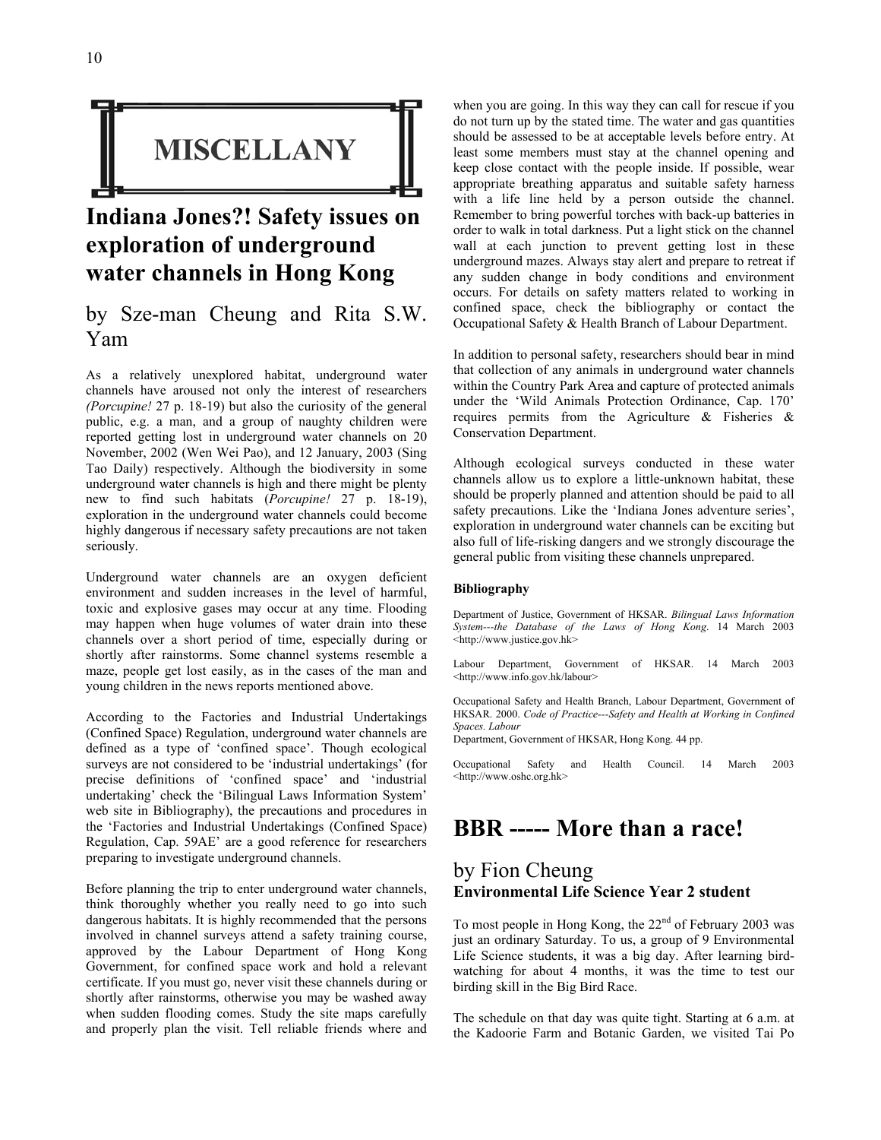

# **Indiana Jones?! Safety issues on exploration of underground water channels in Hong Kong**

### by Sze-man Cheung and Rita S.W. Yam

As a relatively unexplored habitat, underground water channels have aroused not only the interest of researchers *(Porcupine!* 27 p. 18-19) but also the curiosity of the general public, e.g. a man, and a group of naughty children were reported getting lost in underground water channels on 20 November, 2002 (Wen Wei Pao), and 12 January, 2003 (Sing Tao Daily) respectively. Although the biodiversity in some underground water channels is high and there might be plenty new to find such habitats (*Porcupine!* 27 p. 18-19), exploration in the underground water channels could become highly dangerous if necessary safety precautions are not taken seriously.

Underground water channels are an oxygen deficient environment and sudden increases in the level of harmful, toxic and explosive gases may occur at any time. Flooding may happen when huge volumes of water drain into these channels over a short period of time, especially during or shortly after rainstorms. Some channel systems resemble a maze, people get lost easily, as in the cases of the man and young children in the news reports mentioned above.

According to the Factories and Industrial Undertakings (Confined Space) Regulation, underground water channels are defined as a type of 'confined space'. Though ecological surveys are not considered to be 'industrial undertakings' (for precise definitions of 'confined space' and 'industrial undertaking' check the 'Bilingual Laws Information System' web site in Bibliography), the precautions and procedures in the 'Factories and Industrial Undertakings (Confined Space) Regulation, Cap. 59AE' are a good reference for researchers preparing to investigate underground channels.

Before planning the trip to enter underground water channels, think thoroughly whether you really need to go into such dangerous habitats. It is highly recommended that the persons involved in channel surveys attend a safety training course, approved by the Labour Department of Hong Kong Government, for confined space work and hold a relevant certificate. If you must go, never visit these channels during or shortly after rainstorms, otherwise you may be washed away when sudden flooding comes. Study the site maps carefully and properly plan the visit. Tell reliable friends where and

when you are going. In this way they can call for rescue if you do not turn up by the stated time. The water and gas quantities should be assessed to be at acceptable levels before entry. At least some members must stay at the channel opening and keep close contact with the people inside. If possible, wear appropriate breathing apparatus and suitable safety harness with a life line held by a person outside the channel. Remember to bring powerful torches with back-up batteries in order to walk in total darkness. Put a light stick on the channel wall at each junction to prevent getting lost in these underground mazes. Always stay alert and prepare to retreat if any sudden change in body conditions and environment occurs. For details on safety matters related to working in confined space, check the bibliography or contact the Occupational Safety & Health Branch of Labour Department.

In addition to personal safety, researchers should bear in mind that collection of any animals in underground water channels within the Country Park Area and capture of protected animals under the 'Wild Animals Protection Ordinance, Cap. 170' requires permits from the Agriculture & Fisheries & Conservation Department.

Although ecological surveys conducted in these water channels allow us to explore a little-unknown habitat, these should be properly planned and attention should be paid to all safety precautions. Like the 'Indiana Jones adventure series', exploration in underground water channels can be exciting but also full of life-risking dangers and we strongly discourage the general public from visiting these channels unprepared.

#### **Bibliography**

Department of Justice, Government of HKSAR. *Bilingual Laws Information System---the Database of the Laws of Hong Kong*. 14 March 2003 <http://www.justice.gov.hk>

Labour Department, Government of HKSAR. 14 March 2003 <http://www.info.gov.hk/labour>

Occupational Safety and Health Branch, Labour Department, Government of HKSAR. 2000. *Code of Practice---Safety and Health at Working in Confined Spaces. Labour*

Department, Government of HKSAR, Hong Kong. 44 pp.

Occupational Safety and Health Council. 14 March 2003 <http://www.oshc.org.hk>

### **BBR ----- More than a race!**

#### by Fion Cheung **Environmental Life Science Year 2 student**

To most people in Hong Kong, the 22<sup>nd</sup> of February 2003 was just an ordinary Saturday. To us, a group of 9 Environmental Life Science students, it was a big day. After learning birdwatching for about 4 months, it was the time to test our birding skill in the Big Bird Race.

The schedule on that day was quite tight. Starting at 6 a.m. at the Kadoorie Farm and Botanic Garden, we visited Tai Po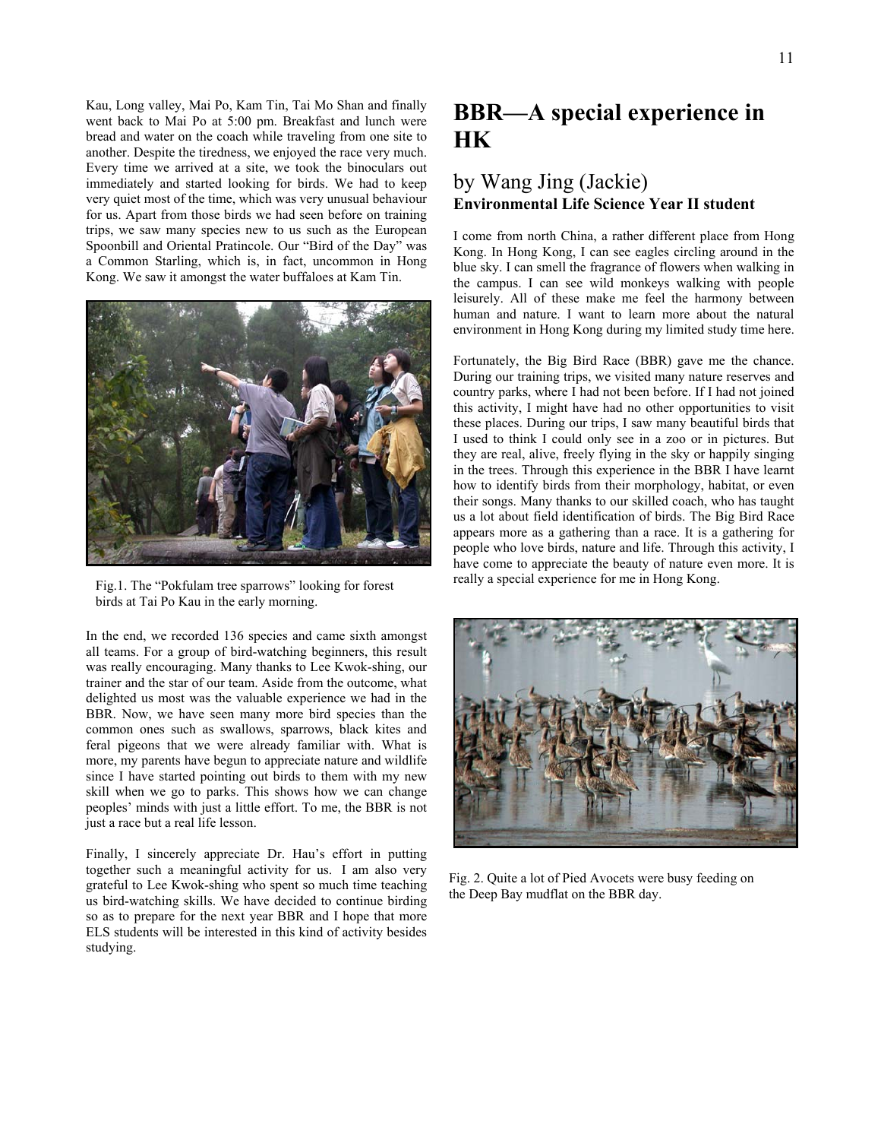Kau, Long valley, Mai Po, Kam Tin, Tai Mo Shan and finally went back to Mai Po at 5:00 pm. Breakfast and lunch were bread and water on the coach while traveling from one site to another. Despite the tiredness, we enjoyed the race very much. Every time we arrived at a site, we took the binoculars out immediately and started looking for birds. We had to keep very quiet most of the time, which was very unusual behaviour for us. Apart from those birds we had seen before on training trips, we saw many species new to us such as the European Spoonbill and Oriental Pratincole. Our "Bird of the Day" was a Common Starling, which is, in fact, uncommon in Hong Kong. We saw it amongst the water buffaloes at Kam Tin.



birds at Tai Po Kau in the early morning.

In the end, we recorded 136 species and came sixth amongst all teams. For a group of bird-watching beginners, this result was really encouraging. Many thanks to Lee Kwok-shing, our trainer and the star of our team. Aside from the outcome, what delighted us most was the valuable experience we had in the BBR. Now, we have seen many more bird species than the common ones such as swallows, sparrows, black kites and feral pigeons that we were already familiar with. What is more, my parents have begun to appreciate nature and wildlife since I have started pointing out birds to them with my new skill when we go to parks. This shows how we can change peoples' minds with just a little effort. To me, the BBR is not just a race but a real life lesson.

Finally, I sincerely appreciate Dr. Hau's effort in putting together such a meaningful activity for us. I am also very grateful to Lee Kwok-shing who spent so much time teaching us bird-watching skills. We have decided to continue birding so as to prepare for the next year BBR and I hope that more ELS students will be interested in this kind of activity besides studying.

# **BBR—A special experience in HK**

### by Wang Jing (Jackie) **Environmental Life Science Year II student**

I come from north China, a rather different place from Hong Kong. In Hong Kong, I can see eagles circling around in the blue sky. I can smell the fragrance of flowers when walking in the campus. I can see wild monkeys walking with people leisurely. All of these make me feel the harmony between human and nature. I want to learn more about the natural environment in Hong Kong during my limited study time here.

Fortunately, the Big Bird Race (BBR) gave me the chance. During our training trips, we visited many nature reserves and country parks, where I had not been before. If I had not joined this activity, I might have had no other opportunities to visit these places. During our trips, I saw many beautiful birds that I used to think I could only see in a zoo or in pictures. But they are real, alive, freely flying in the sky or happily singing in the trees. Through this experience in the BBR I have learnt how to identify birds from their morphology, habitat, or even their songs. Many thanks to our skilled coach, who has taught us a lot about field identification of birds. The Big Bird Race appears more as a gathering than a race. It is a gathering for people who love birds, nature and life. Through this activity, I have come to appreciate the beauty of nature even more. It is Fig.1. The "Pokfulam tree sparrows" looking for forest really a special experience for me in Hong Kong.



Fig. 2. Quite a lot of Pied Avocets were busy feeding on the Deep Bay mudflat on the BBR day.